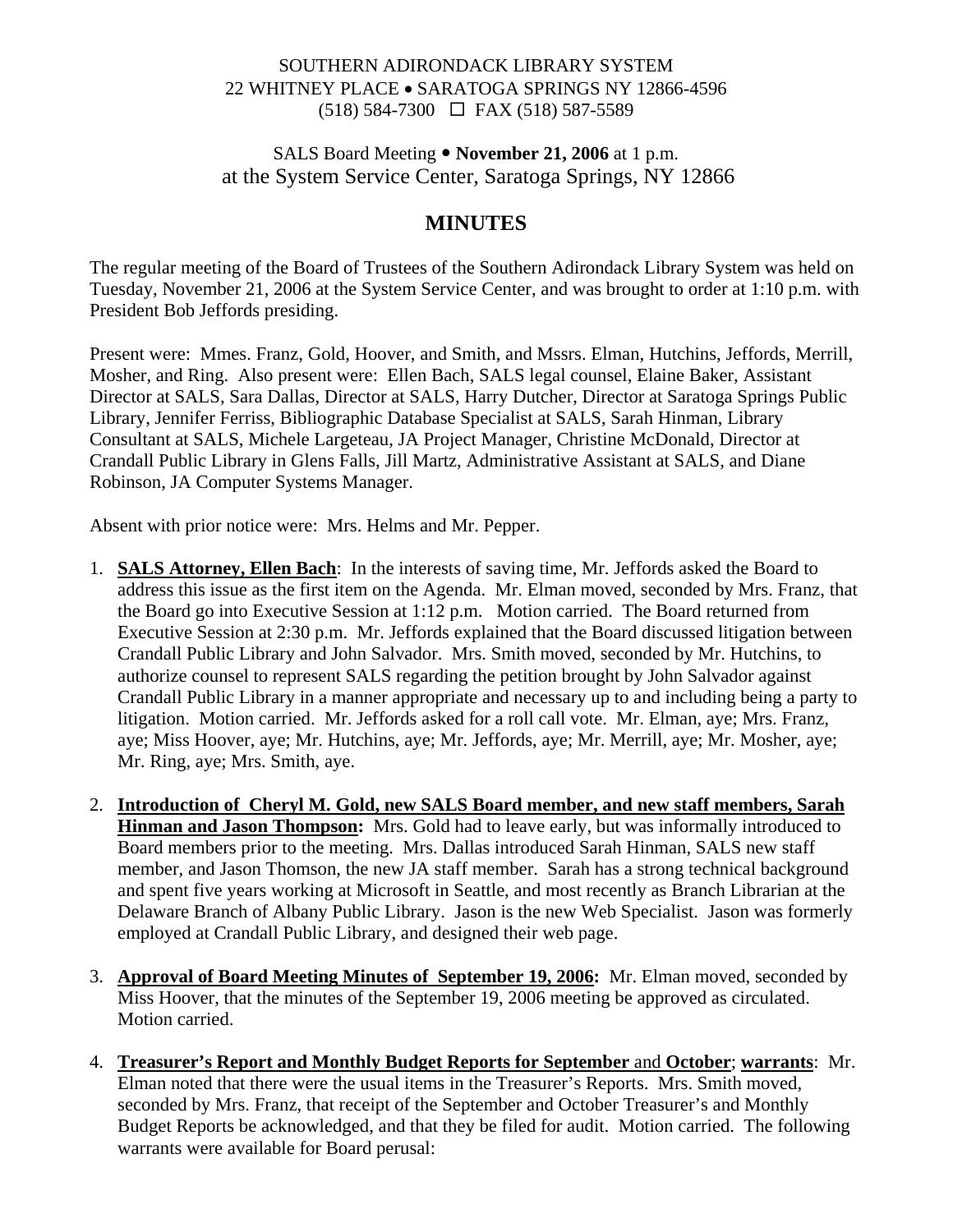### SOUTHERN ADIRONDACK LIBRARY SYSTEM 22 WHITNEY PLACE • SARATOGA SPRINGS NY 12866-4596 (518) 584-7300 FAX (518) 587-5589

### SALS Board Meeting • November 21, 2006 at 1 p.m. at the System Service Center, Saratoga Springs, NY 12866

# **MINUTES**

The regular meeting of the Board of Trustees of the Southern Adirondack Library System was held on Tuesday, November 21, 2006 at the System Service Center, and was brought to order at 1:10 p.m. with President Bob Jeffords presiding.

Present were: Mmes. Franz, Gold, Hoover, and Smith, and Mssrs. Elman, Hutchins, Jeffords, Merrill, Mosher, and Ring. Also present were: Ellen Bach, SALS legal counsel, Elaine Baker, Assistant Director at SALS, Sara Dallas, Director at SALS, Harry Dutcher, Director at Saratoga Springs Public Library, Jennifer Ferriss, Bibliographic Database Specialist at SALS, Sarah Hinman, Library Consultant at SALS, Michele Largeteau, JA Project Manager, Christine McDonald, Director at Crandall Public Library in Glens Falls, Jill Martz, Administrative Assistant at SALS, and Diane Robinson, JA Computer Systems Manager.

Absent with prior notice were: Mrs. Helms and Mr. Pepper.

- 1. **SALS Attorney, Ellen Bach**: In the interests of saving time, Mr. Jeffords asked the Board to address this issue as the first item on the Agenda. Mr. Elman moved, seconded by Mrs. Franz, that the Board go into Executive Session at 1:12 p.m. Motion carried. The Board returned from Executive Session at 2:30 p.m. Mr. Jeffords explained that the Board discussed litigation between Crandall Public Library and John Salvador. Mrs. Smith moved, seconded by Mr. Hutchins, to authorize counsel to represent SALS regarding the petition brought by John Salvador against Crandall Public Library in a manner appropriate and necessary up to and including being a party to litigation. Motion carried. Mr. Jeffords asked for a roll call vote. Mr. Elman, aye; Mrs. Franz, aye; Miss Hoover, aye; Mr. Hutchins, aye; Mr. Jeffords, aye; Mr. Merrill, aye; Mr. Mosher, aye; Mr. Ring, aye; Mrs. Smith, aye.
- 2. **Introduction of Cheryl M. Gold, new SALS Board member, and new staff members, Sarah Hinman and Jason Thompson:** Mrs. Gold had to leave early, but was informally introduced to Board members prior to the meeting. Mrs. Dallas introduced Sarah Hinman, SALS new staff member, and Jason Thomson, the new JA staff member. Sarah has a strong technical background and spent five years working at Microsoft in Seattle, and most recently as Branch Librarian at the Delaware Branch of Albany Public Library. Jason is the new Web Specialist. Jason was formerly employed at Crandall Public Library, and designed their web page.
- 3. **Approval of Board Meeting Minutes of September 19, 2006:** Mr. Elman moved, seconded by Miss Hoover, that the minutes of the September 19, 2006 meeting be approved as circulated. Motion carried.
- 4. **Treasurer's Report and Monthly Budget Reports for September** and **October**; **warrants**: Mr. Elman noted that there were the usual items in the Treasurer's Reports. Mrs. Smith moved, seconded by Mrs. Franz, that receipt of the September and October Treasurer's and Monthly Budget Reports be acknowledged, and that they be filed for audit. Motion carried. The following warrants were available for Board perusal: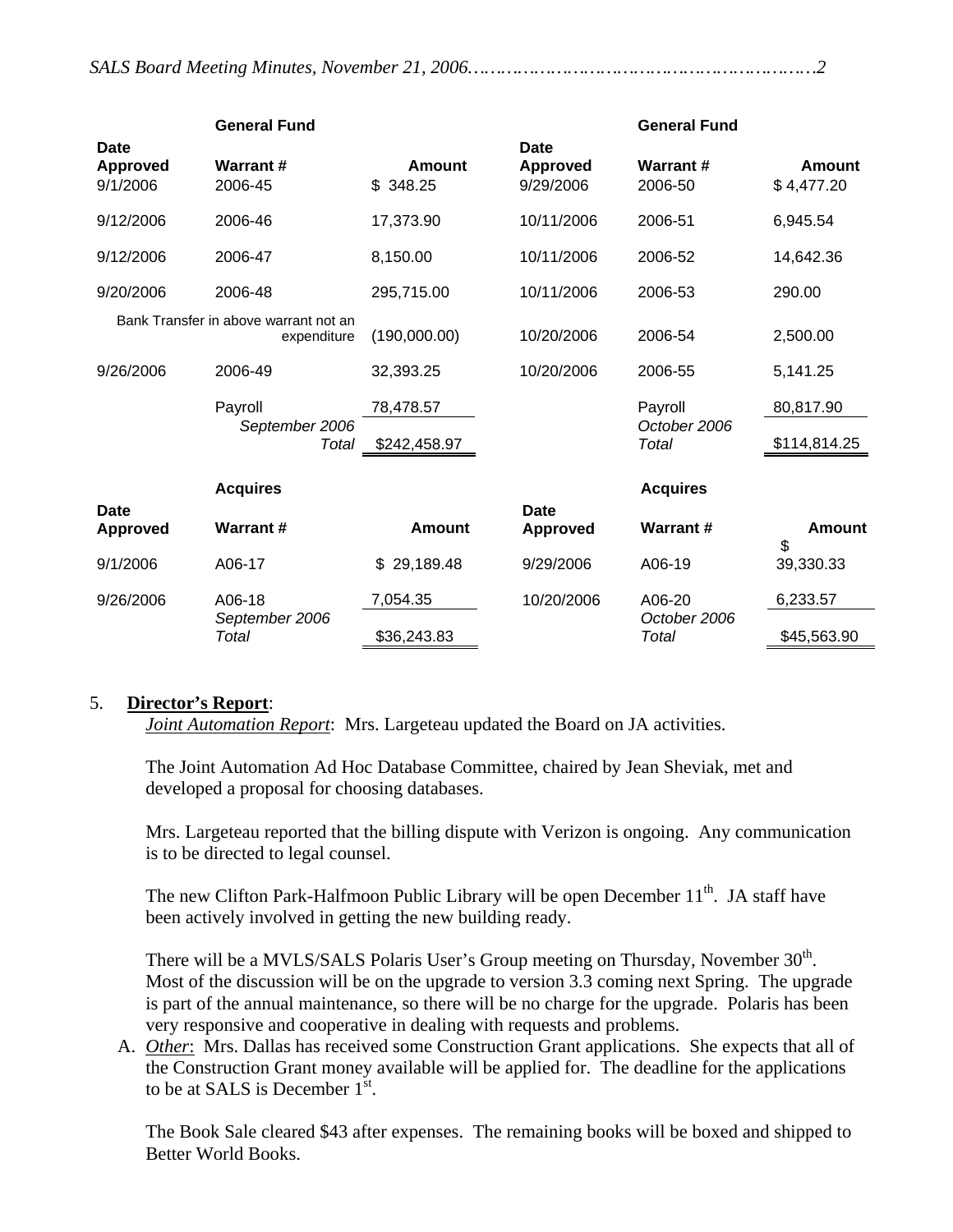|                                     | <b>General Fund</b>                                  |                           |                                             | <b>General Fund</b>              |                      |
|-------------------------------------|------------------------------------------------------|---------------------------|---------------------------------------------|----------------------------------|----------------------|
| Date<br><b>Approved</b><br>9/1/2006 | <b>Warrant#</b><br>2006-45                           | <b>Amount</b><br>\$348.25 | <b>Date</b><br><b>Approved</b><br>9/29/2006 | <b>Warrant#</b><br>2006-50       | Amount<br>\$4,477.20 |
| 9/12/2006                           | 2006-46                                              | 17,373.90                 | 10/11/2006                                  | 2006-51                          | 6,945.54             |
| 9/12/2006                           | 2006-47                                              | 8,150.00                  | 10/11/2006                                  | 2006-52                          | 14,642.36            |
| 9/20/2006                           | 2006-48                                              | 295,715.00                | 10/11/2006                                  | 2006-53                          | 290.00               |
|                                     | Bank Transfer in above warrant not an<br>expenditure | (190,000.00)              | 10/20/2006                                  | 2006-54                          | 2,500.00             |
| 9/26/2006                           | 2006-49                                              | 32,393.25                 | 10/20/2006                                  | 2006-55                          | 5,141.25             |
|                                     | Payroll<br>September 2006<br>Total                   | 78,478.57                 |                                             | Payroll<br>October 2006<br>Total | 80,817.90            |
|                                     |                                                      | \$242,458.97              |                                             |                                  | \$114,814.25         |
|                                     | <b>Acquires</b>                                      |                           |                                             | <b>Acquires</b>                  |                      |
| <b>Date</b>                         |                                                      |                           | <b>Date</b>                                 |                                  |                      |
| <b>Approved</b>                     | <b>Warrant#</b>                                      | <b>Amount</b>             | <b>Approved</b>                             | <b>Warrant#</b>                  | <b>Amount</b><br>\$  |
| 9/1/2006                            | A06-17                                               | 29,189.48<br>\$           | 9/29/2006                                   | A06-19                           | 39,330.33            |
| 9/26/2006                           | A06-18                                               | 7,054.35                  | 10/20/2006                                  | A06-20                           | 6,233.57             |
|                                     | September 2006<br>Total                              | \$36,243.83               |                                             | October 2006<br>Total            | \$45,563.90          |

#### 5. **Director's Report**:

*Joint Automation Report*: Mrs. Largeteau updated the Board on JA activities.

The Joint Automation Ad Hoc Database Committee, chaired by Jean Sheviak, met and developed a proposal for choosing databases.

Mrs. Largeteau reported that the billing dispute with Verizon is ongoing. Any communication is to be directed to legal counsel.

The new Clifton Park-Halfmoon Public Library will be open December 11<sup>th</sup>. JA staff have been actively involved in getting the new building ready.

There will be a MVLS/SALS Polaris User's Group meeting on Thursday, November 30<sup>th</sup>. Most of the discussion will be on the upgrade to version 3.3 coming next Spring. The upgrade is part of the annual maintenance, so there will be no charge for the upgrade. Polaris has been very responsive and cooperative in dealing with requests and problems.

A. *Other*: Mrs. Dallas has received some Construction Grant applications. She expects that all of the Construction Grant money available will be applied for. The deadline for the applications to be at SALS is December  $1^{st}$ .

The Book Sale cleared \$43 after expenses. The remaining books will be boxed and shipped to Better World Books.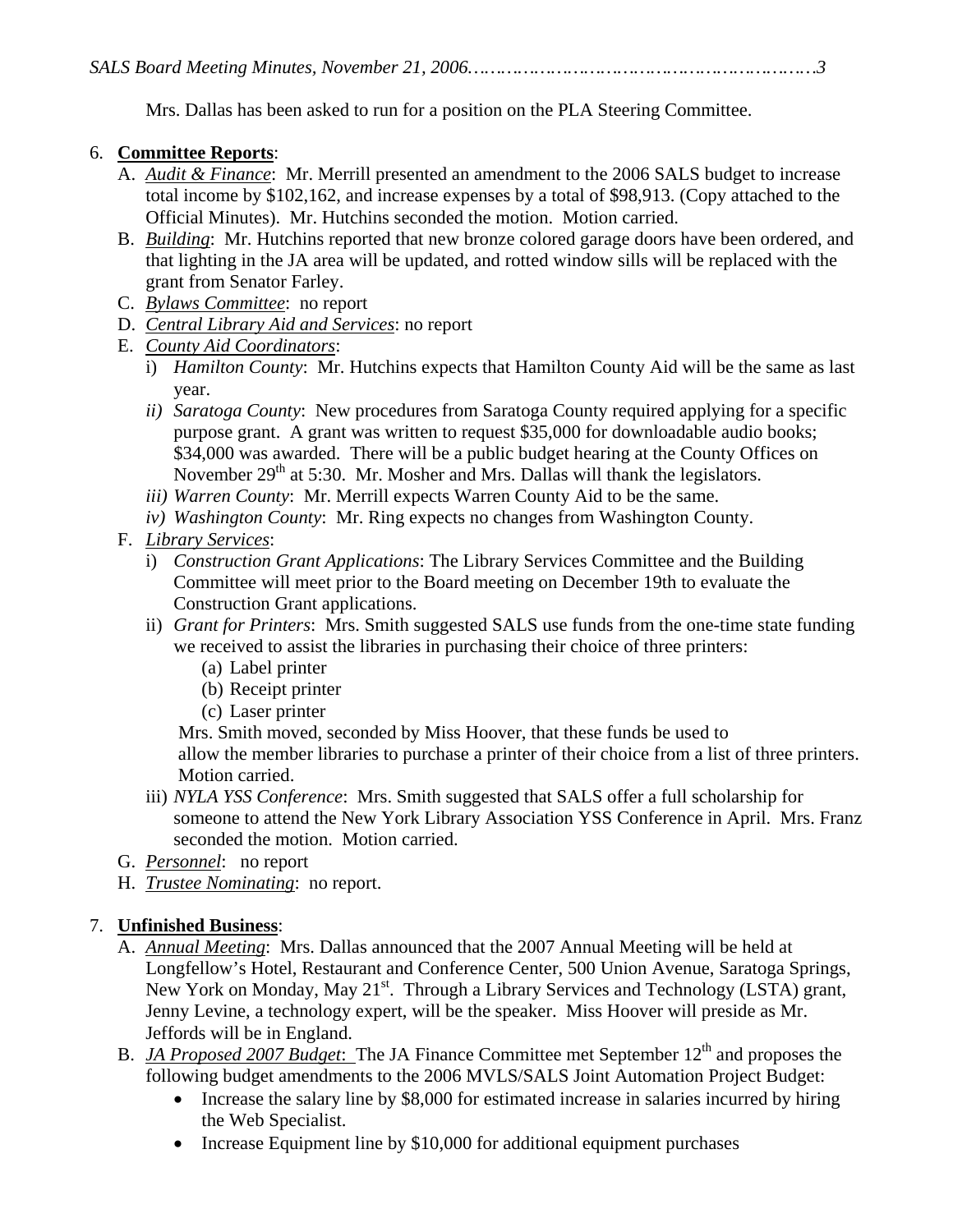Mrs. Dallas has been asked to run for a position on the PLA Steering Committee.

### 6. **Committee Reports**:

- A. *Audit & Finance*: Mr. Merrill presented an amendment to the 2006 SALS budget to increase total income by \$102,162, and increase expenses by a total of \$98,913. (Copy attached to the Official Minutes). Mr. Hutchins seconded the motion. Motion carried.
- B. *Building*: Mr. Hutchins reported that new bronze colored garage doors have been ordered, and that lighting in the JA area will be updated, and rotted window sills will be replaced with the grant from Senator Farley.
- C. *Bylaws Committee*: no report
- D. *Central Library Aid and Services*: no report
- E. *County Aid Coordinators*:
	- i) *Hamilton County*: Mr. Hutchins expects that Hamilton County Aid will be the same as last year.
	- *ii) Saratoga County*: New procedures from Saratoga County required applying for a specific purpose grant. A grant was written to request \$35,000 for downloadable audio books; \$34,000 was awarded. There will be a public budget hearing at the County Offices on November  $29<sup>th</sup>$  at 5:30. Mr. Mosher and Mrs. Dallas will thank the legislators.
	- *iii) Warren County*: Mr. Merrill expects Warren County Aid to be the same.
	- *iv) Washington County*: Mr. Ring expects no changes from Washington County.
- F. *Library Services*:
	- i) *Construction Grant Applications*: The Library Services Committee and the Building Committee will meet prior to the Board meeting on December 19th to evaluate the Construction Grant applications.
	- ii) *Grant for Printers*: Mrs. Smith suggested SALS use funds from the one-time state funding we received to assist the libraries in purchasing their choice of three printers:
		- (a) Label printer
		- (b) Receipt printer
		- (c) Laser printer

 Mrs. Smith moved, seconded by Miss Hoover, that these funds be used to allow the member libraries to purchase a printer of their choice from a list of three printers. Motion carried.

- iii) *NYLA YSS Conference*: Mrs. Smith suggested that SALS offer a full scholarship for someone to attend the New York Library Association YSS Conference in April. Mrs. Franz seconded the motion. Motion carried.
- G. *Personnel*: no report
- H. *Trustee Nominating*: no report.

## 7. **Unfinished Business**:

- A. *Annual Meeting*: Mrs. Dallas announced that the 2007 Annual Meeting will be held at Longfellow's Hotel, Restaurant and Conference Center, 500 Union Avenue, Saratoga Springs, New York on Monday, May  $21^{st}$ . Through a Library Services and Technology (LSTA) grant, Jenny Levine, a technology expert, will be the speaker. Miss Hoover will preside as Mr. Jeffords will be in England.
- B. *JA Proposed 2007 Budget*: The JA Finance Committee met September 12<sup>th</sup> and proposes the following budget amendments to the 2006 MVLS/SALS Joint Automation Project Budget:
	- Increase the salary line by \$8,000 for estimated increase in salaries incurred by hiring the Web Specialist.
	- Increase Equipment line by \$10,000 for additional equipment purchases